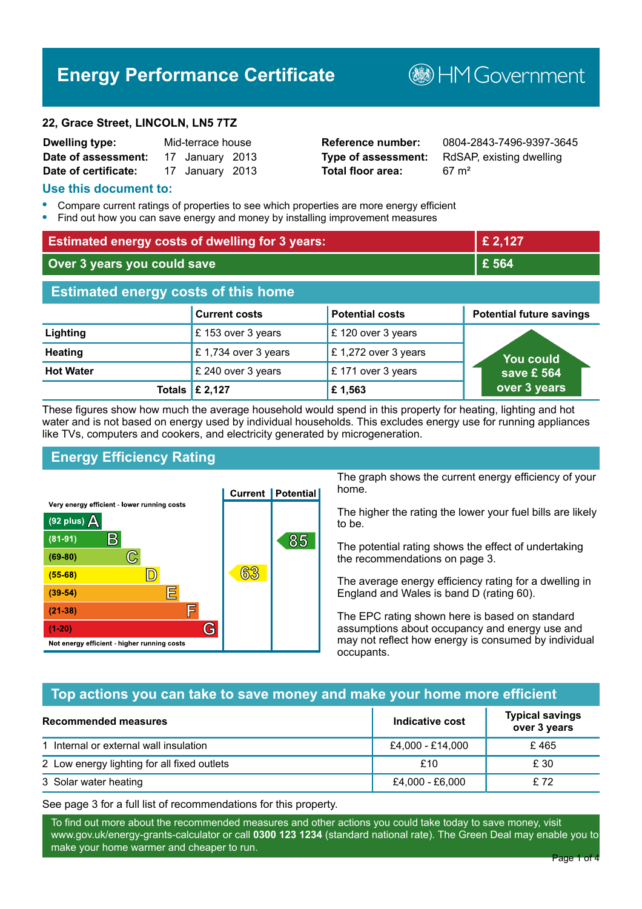# **Energy Performance Certificate**

#### **22, Grace Street, LINCOLN, LN5 7TZ**

| <b>Dwelling type:</b> | Mid-terrace house |                 |  |
|-----------------------|-------------------|-----------------|--|
| Date of assessment:   |                   | 17 January 2013 |  |
| Date of certificate:  |                   | 17 January 2013 |  |

**Total floor area:** 67 m<sup>2</sup>

**Reference number:** 0804-2843-7496-9397-3645 **Type of assessment:** RdSAP, existing dwelling

**B**HM Government

#### **Use this document to:**

- **•** Compare current ratings of properties to see which properties are more energy efficient
- **•** Find out how you can save energy and money by installing improvement measures

| <b>Estimated energy costs of dwelling for 3 years:</b> |                           | £ 2,127                |                                 |
|--------------------------------------------------------|---------------------------|------------------------|---------------------------------|
| Over 3 years you could save                            |                           | £ 564                  |                                 |
| <b>Estimated energy costs of this home</b>             |                           |                        |                                 |
|                                                        | <b>Current costs</b>      | <b>Potential costs</b> | <b>Potential future savings</b> |
| Lighting                                               | £153 over 3 years         | £120 over 3 years      |                                 |
| <b>Heating</b>                                         | £1,734 over 3 years       | £1,272 over 3 years    | You could                       |
| <b>Hot Water</b>                                       | £ 240 over 3 years        | £171 over 3 years      | save £ 564                      |
|                                                        | Totals $\mathsf{E}$ 2,127 | £1,563                 | over 3 years                    |

These figures show how much the average household would spend in this property for heating, lighting and hot water and is not based on energy used by individual households. This excludes energy use for running appliances like TVs, computers and cookers, and electricity generated by microgeneration.

# **Energy Efficiency Rating**



The graph shows the current energy efficiency of your home.

The higher the rating the lower your fuel bills are likely to be.

The potential rating shows the effect of undertaking the recommendations on page 3.

The average energy efficiency rating for a dwelling in England and Wales is band D (rating 60).

The EPC rating shown here is based on standard assumptions about occupancy and energy use and may not reflect how energy is consumed by individual occupants.

## **Top actions you can take to save money and make your home more efficient**

| Recommended measures                        | Indicative cost  | <b>Typical savings</b><br>over 3 years |
|---------------------------------------------|------------------|----------------------------------------|
| 1 Internal or external wall insulation      | £4,000 - £14,000 | £465                                   |
| 2 Low energy lighting for all fixed outlets | £10              | £ 30                                   |
| 3 Solar water heating                       | £4,000 - £6,000  | £72                                    |

See page 3 for a full list of recommendations for this property.

To find out more about the recommended measures and other actions you could take today to save money, visit www.gov.uk/energy-grants-calculator or call **0300 123 1234** (standard national rate). The Green Deal may enable you to make your home warmer and cheaper to run.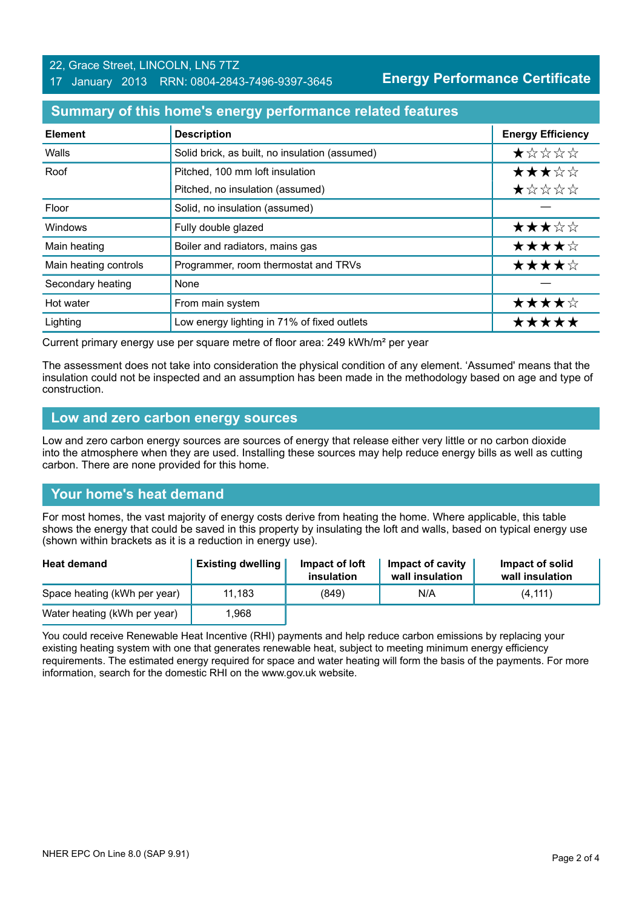#### 22, Grace Street, LINCOLN, LN5 7TZ 17 January 2013 RRN: 0804-2843-7496-9397-3645

**Energy Performance Certificate**

## **Summary of this home's energy performance related features**

| <b>Element</b>        | <b>Description</b>                             | <b>Energy Efficiency</b> |
|-----------------------|------------------------------------------------|--------------------------|
| Walls                 | Solid brick, as built, no insulation (assumed) | *****                    |
| Roof                  | Pitched, 100 mm loft insulation                | ★★★☆☆                    |
|                       | Pitched, no insulation (assumed)               | ★☆☆☆☆                    |
| Floor                 | Solid, no insulation (assumed)                 |                          |
| Windows               | Fully double glazed                            | ★★★☆☆                    |
| Main heating          | Boiler and radiators, mains gas                | ★★★★☆                    |
| Main heating controls | Programmer, room thermostat and TRVs           | ★★★★☆                    |
| Secondary heating     | None                                           |                          |
| Hot water             | From main system                               | ★★★★☆                    |
| Lighting              | Low energy lighting in 71% of fixed outlets    | *****                    |

Current primary energy use per square metre of floor area: 249 kWh/m² per year

The assessment does not take into consideration the physical condition of any element. 'Assumed' means that the insulation could not be inspected and an assumption has been made in the methodology based on age and type of construction.

#### **Low and zero carbon energy sources**

Low and zero carbon energy sources are sources of energy that release either very little or no carbon dioxide into the atmosphere when they are used. Installing these sources may help reduce energy bills as well as cutting carbon. There are none provided for this home.

## **Your home's heat demand**

For most homes, the vast majority of energy costs derive from heating the home. Where applicable, this table shows the energy that could be saved in this property by insulating the loft and walls, based on typical energy use (shown within brackets as it is a reduction in energy use).

| <b>Heat demand</b>           | <b>Existing dwelling</b> | Impact of loft<br>insulation | Impact of cavity<br>wall insulation | Impact of solid<br>wall insulation |
|------------------------------|--------------------------|------------------------------|-------------------------------------|------------------------------------|
| Space heating (kWh per year) | 11.183                   | (849)                        | N/A                                 | (4, 111)                           |
| Water heating (kWh per year) | 1.968                    |                              |                                     |                                    |

You could receive Renewable Heat Incentive (RHI) payments and help reduce carbon emissions by replacing your existing heating system with one that generates renewable heat, subject to meeting minimum energy efficiency requirements. The estimated energy required for space and water heating will form the basis of the payments. For more information, search for the domestic RHI on the www.gov.uk website.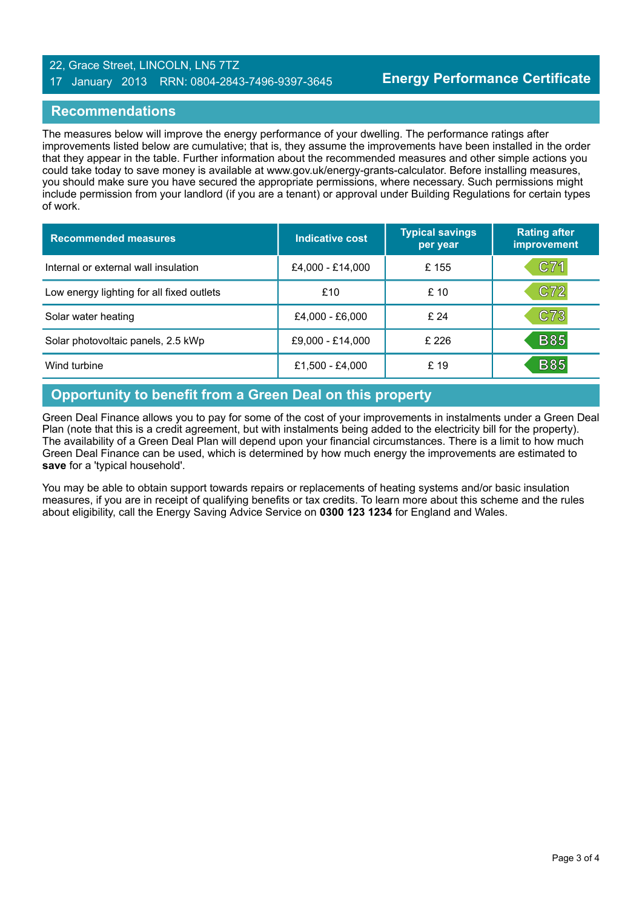#### 22, Grace Street, LINCOLN, LN5 7TZ 17 January 2013 RRN: 0804-2843-7496-9397-3645

## **Recommendations**

The measures below will improve the energy performance of your dwelling. The performance ratings after improvements listed below are cumulative; that is, they assume the improvements have been installed in the order that they appear in the table. Further information about the recommended measures and other simple actions you could take today to save money is available at www.gov.uk/energy-grants-calculator. Before installing measures, you should make sure you have secured the appropriate permissions, where necessary. Such permissions might include permission from your landlord (if you are a tenant) or approval under Building Regulations for certain types of work.

| <b>Recommended measures</b>               | Indicative cost  | <b>Typical savings</b><br>per year | <b>Rating after</b><br>improvement |
|-------------------------------------------|------------------|------------------------------------|------------------------------------|
| Internal or external wall insulation      | £4,000 - £14,000 | £155                               | C71                                |
| Low energy lighting for all fixed outlets | £10              | £10                                | C72                                |
| Solar water heating                       | £4,000 - £6,000  | £24                                | C73                                |
| Solar photovoltaic panels, 2.5 kWp        | £9,000 - £14,000 | £ 226                              | <b>B85</b>                         |
| Wind turbine                              | £1,500 - £4,000  | £ 19                               | <b>B85</b>                         |

## **Opportunity to benefit from a Green Deal on this property**

Green Deal Finance allows you to pay for some of the cost of your improvements in instalments under a Green Deal Plan (note that this is a credit agreement, but with instalments being added to the electricity bill for the property). The availability of a Green Deal Plan will depend upon your financial circumstances. There is a limit to how much Green Deal Finance can be used, which is determined by how much energy the improvements are estimated to **save** for a 'typical household'.

You may be able to obtain support towards repairs or replacements of heating systems and/or basic insulation measures, if you are in receipt of qualifying benefits or tax credits. To learn more about this scheme and the rules about eligibility, call the Energy Saving Advice Service on **0300 123 1234** for England and Wales.